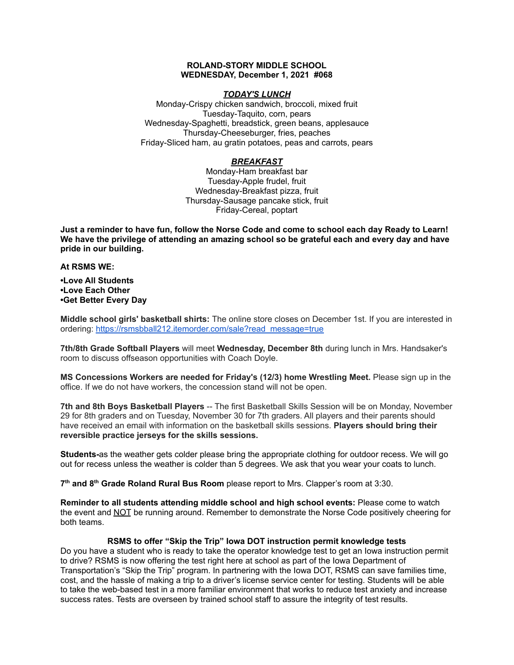### **ROLAND-STORY MIDDLE SCHOOL WEDNESDAY, December 1, 2021 #068**

### *TODAY'S LUNCH*

Monday-Crispy chicken sandwich, broccoli, mixed fruit Tuesday-Taquito, corn, pears Wednesday-Spaghetti, breadstick, green beans, applesauce Thursday-Cheeseburger, fries, peaches Friday-Sliced ham, au gratin potatoes, peas and carrots, pears

# *BREAKFAST*

Monday-Ham breakfast bar Tuesday-Apple frudel, fruit Wednesday-Breakfast pizza, fruit Thursday-Sausage pancake stick, fruit Friday-Cereal, poptart

Just a reminder to have fun, follow the Norse Code and come to school each day Ready to Learn! **We have the privilege of attending an amazing school so be grateful each and every day and have pride in our building.**

**At RSMS WE:**

**•Love All Students •Love Each Other •Get Better Every Day**

**Middle school girls' basketball shirts:** The online store closes on December 1st. If you are interested in ordering: [https://rsmsbball212.itemorder.com/sale?read\\_message=true](https://rsmsbball212.itemorder.com/sale?read_message=true)

**7th/8th Grade Softball Players** will meet **Wednesday, December 8th** during lunch in Mrs. Handsaker's room to discuss offseason opportunities with Coach Doyle.

**MS Concessions Workers are needed for Friday's (12/3) home Wrestling Meet.** Please sign up in the office. If we do not have workers, the concession stand will not be open.

**7th and 8th Boys Basketball Players** -- The first Basketball Skills Session will be on Monday, November 29 for 8th graders and on Tuesday, November 30 for 7th graders. All players and their parents should have received an email with information on the basketball skills sessions. **Players should bring their reversible practice jerseys for the skills sessions.**

**Students-**as the weather gets colder please bring the appropriate clothing for outdoor recess. We will go out for recess unless the weather is colder than 5 degrees. We ask that you wear your coats to lunch.

**7 th and 8 th Grade Roland Rural Bus Room** please report to Mrs. Clapper's room at 3:30.

**Reminder to all students attending middle school and high school events:** Please come to watch the event and NOT be running around. Remember to demonstrate the Norse Code positively cheering for both teams.

#### **RSMS to offer "Skip the Trip" Iowa DOT instruction permit knowledge tests**

Do you have a student who is ready to take the operator knowledge test to get an Iowa instruction permit to drive? RSMS is now offering the test right here at school as part of the Iowa Department of Transportation's "Skip the Trip" program. In partnering with the Iowa DOT, RSMS can save families time, cost, and the hassle of making a trip to a driver's license service center for testing. Students will be able to take the web-based test in a more familiar environment that works to reduce test anxiety and increase success rates. Tests are overseen by trained school staff to assure the integrity of test results.